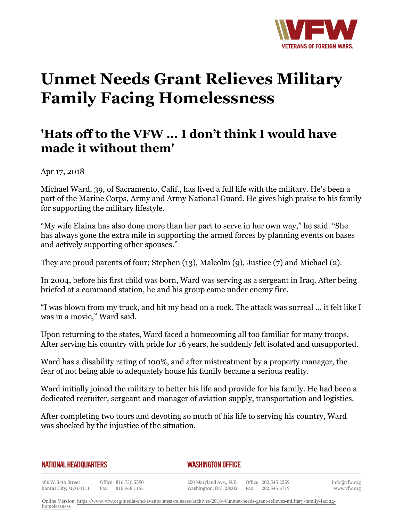

## **Unmet Needs Grant Relieves Military Family Facing Homelessness**

## **'Hats off to the VFW ... I don't think I would have made it without them'**

Apr 17, 2018

Michael Ward, 39, of Sacramento, Calif., has lived a full life with the military. He's been a part of the Marine Corps, Army and Army National Guard. He gives high praise to his family for supporting the military lifestyle.

"My wife Elaina has also done more than her part to serve in her own way," he said. "She has always gone the extra mile in supporting the armed forces by planning events on bases and actively supporting other spouses."

They are proud parents of four; Stephen (13), Malcolm (9), Justice (7) and Michael (2).

In 2004, before his first child was born, Ward was serving as a sergeant in Iraq. After being briefed at a command station, he and his group came under enemy fire.

"I was blown from my truck, and hit my head on a rock. The attack was surreal … it felt like I was in a movie," Ward said.

Upon returning to the states, Ward faced a homecoming all too familiar for many troops. After serving his country with pride for 16 years, he suddenly felt isolated and unsupported.

Ward has a disability rating of 100%, and after mistreatment by a property manager, the fear of not being able to adequately house his family became a serious reality.

Ward initially joined the military to better his life and provide for his family. He had been a dedicated recruiter, sergeant and manager of aviation supply, transportation and logistics.

After completing two tours and devoting so much of his life to serving his country, Ward was shocked by the injustice of the situation.

## **NATIONAL HEADQUARTERS**

## *WASHINGTON OFFICE*

406 W. 34th Street Office 816.756.3390 Kansas City, MO 64111 Fax 816.968.1157

200 Maryland Ave., N.E. Washington, D.C. 20002

Office 202.543.2239 Fax 202.543.6719 info@vfw.org www.vfw.org

Online Version: [https://www.vfw.org/media-and-events/latest-releases/archives/2018/4/unmet-needs-grant-relieves-military-family-facing](https://www.vfw.org/media-and-events/latest-releases/archives/2018/4/unmet-needs-grant-relieves-military-family-facing-homelessness)[homelessness](https://www.vfw.org/media-and-events/latest-releases/archives/2018/4/unmet-needs-grant-relieves-military-family-facing-homelessness)